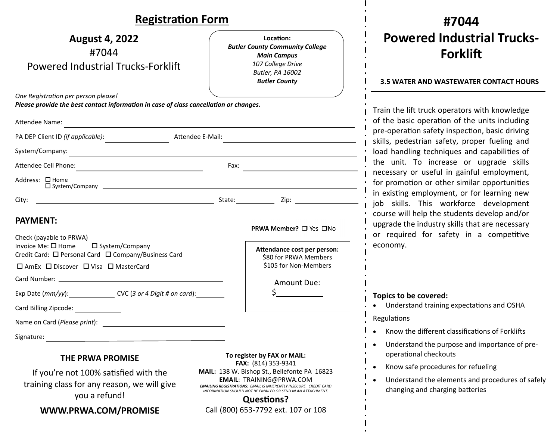## Dogictration Form

| <b>Registration Form</b>                                                                                                                                                                      |                                                                                                                                                                                                                                                 |                                                                                                                                            | #7044                                                                                                                                                                                |  |
|-----------------------------------------------------------------------------------------------------------------------------------------------------------------------------------------------|-------------------------------------------------------------------------------------------------------------------------------------------------------------------------------------------------------------------------------------------------|--------------------------------------------------------------------------------------------------------------------------------------------|--------------------------------------------------------------------------------------------------------------------------------------------------------------------------------------|--|
| <b>August 4, 2022</b><br>#7044<br>Powered Industrial Trucks-Forklift                                                                                                                          |                                                                                                                                                                                                                                                 | Location:<br><b>Butler County Community College</b><br><b>Main Campus</b><br>107 College Drive<br>Butler, PA 16002<br><b>Butler County</b> | <b>Powered Industrial Trucks-</b><br><b>Forklift</b><br><b>3.5 WATER AND WASTEWATER CONTACT HOURS</b>                                                                                |  |
| One Registration per person please!<br>Please provide the best contact information in case of class cancellation or changes.                                                                  |                                                                                                                                                                                                                                                 |                                                                                                                                            | Train the lift truck operators with knowledge                                                                                                                                        |  |
| Attendee Name:                                                                                                                                                                                |                                                                                                                                                                                                                                                 |                                                                                                                                            | of the basic operation of the units including<br>pre-operation safety inspection, basic driving<br>skills, pedestrian safety, proper fueling and                                     |  |
| PA DEP Client ID (if applicable): Attendee E-Mail:                                                                                                                                            |                                                                                                                                                                                                                                                 |                                                                                                                                            |                                                                                                                                                                                      |  |
|                                                                                                                                                                                               |                                                                                                                                                                                                                                                 |                                                                                                                                            | load handling techniques and capabilities of                                                                                                                                         |  |
| Attendee Cell Phone:<br>Fax:<br><u> 1980 - Jan Barbara Barbara, manazarta </u>                                                                                                                |                                                                                                                                                                                                                                                 |                                                                                                                                            | the unit. To increase or upgrade skills<br>necessary or useful in gainful employment,<br>for promotion or other similar opportunities<br>in existing employment, or for learning new |  |
| Address: □ Home                                                                                                                                                                               |                                                                                                                                                                                                                                                 |                                                                                                                                            |                                                                                                                                                                                      |  |
|                                                                                                                                                                                               |                                                                                                                                                                                                                                                 |                                                                                                                                            | job skills. This workforce development                                                                                                                                               |  |
| <b>PAYMENT:</b><br>Check (payable to PRWA)<br>Invoice Me: $\square$ Home<br>□ System/Company<br>Credit Card: □ Personal Card □ Company/Business Card<br>□ AmEx □ Discover □ Visa □ MasterCard |                                                                                                                                                                                                                                                 | PRWA Member? □ Yes □No<br>Attendance cost per person:<br>\$80 for PRWA Members<br>\$105 for Non-Members                                    | course will help the students develop and/or<br>upgrade the industry skills that are necessary<br>or required for safety in a competitive<br>economy.                                |  |
|                                                                                                                                                                                               |                                                                                                                                                                                                                                                 | Amount Due:                                                                                                                                |                                                                                                                                                                                      |  |
| Exp Date (mm/yy): CVC (3 or 4 Digit # on card):<br>Card Billing Zipcode:                                                                                                                      |                                                                                                                                                                                                                                                 | Topics to be covered:<br>• Understand training expectations and OSHA<br>Regulations                                                        |                                                                                                                                                                                      |  |
| Name on Card (Please print):                                                                                                                                                                  |                                                                                                                                                                                                                                                 |                                                                                                                                            | Know the different classifications of Forklifts                                                                                                                                      |  |
| Signature:<br><u> 1989 - John Stein, Amerikaansk politiker (* 1908)</u><br>To register by FAX or MAIL:                                                                                        |                                                                                                                                                                                                                                                 | Understand the purpose and importance of pre-<br>operational checkouts                                                                     |                                                                                                                                                                                      |  |
| <b>THE PRWA PROMISE</b>                                                                                                                                                                       |                                                                                                                                                                                                                                                 | FAX: (814) 353-9341                                                                                                                        | Know safe procedures for refueling                                                                                                                                                   |  |
| If you're not 100% satisfied with the<br>training class for any reason, we will give<br>you a refund!                                                                                         | MAIL: 138 W. Bishop St., Bellefonte PA 16823<br><b>EMAIL: TRAINING@PRWA.COM</b><br><b>EMAILING REGISTRATIONS: EMAIL IS INHERENTLY INSECURE. CREDIT CARD</b><br>INFORMATION SHOULD NOT BE EMAILED OR SEND IN AN ATTACHMENT.<br><b>Questions?</b> |                                                                                                                                            | Understand the elements and procedures of safely<br>changing and charging batteries                                                                                                  |  |
| Call (800) 653-7792 ext. 107 or 108<br>WWW.PRWA.COM/PROMISE                                                                                                                                   |                                                                                                                                                                                                                                                 |                                                                                                                                            |                                                                                                                                                                                      |  |

 $\mathbf{I}$  $\blacksquare$